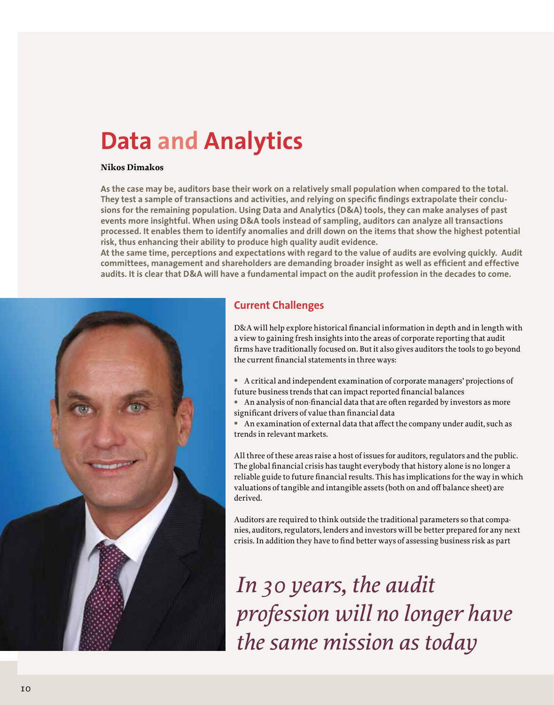# **Data and Analytics**

#### **Nikos Dimakos**

**As the case may be, auditors base their work on a relatively small population when compared to the total. They test a sample of transactions and activities, and relying on specific findings extrapolate their conclusions for the remaining population. Using Data and Analytics (D&A) tools, they can make analyses of past events more insightful. When using D&A tools instead of sampling, auditors can analyze all transactions processed. It enables them to identify anomalies and drill down on the items that show the highest potential risk, thus enhancing their ability to produce high quality audit evidence.**

**At the same time, perceptions and expectations with regard to the value of audits are evolving quickly. Audit committees, management and shareholders are demanding broader insight as well as efficient and effective audits. It is clear that D&A will have a fundamental impact on the audit profession in the decades to come.**



#### **Current Challenges**

D&A will help explore historical financial information in depth and in length with a view to gaining fresh insights into the areas of corporate reporting that audit firms have traditionally focused on. But it also gives auditors the tools to go beyond the current financial statements in three ways:

- **•** A critical and independent examination of corporate managers' projections of future business trends that can impact reported financial balances
- **•** An analysis of non-financial data that are often regarded by investors as more significant drivers of value than financial data
- **•** An examination of external data that affect the company under audit, such as trends in relevant markets.

All three of these areas raise a host of issues for auditors, regulators and the public. The global financial crisis has taught everybody that history alone is no longer a reliable guide to future financial results. This has implications for the way in which valuations of tangible and intangible assets (both on and off balance sheet) are derived.

Auditors are required to think outside the traditional parameters so that companies, auditors, regulators, lenders and investors will be better prepared for any next crisis. In addition they have to find better ways of assessing business risk as part

*In 30 years, the audit profession will no longer have the same mission as today*